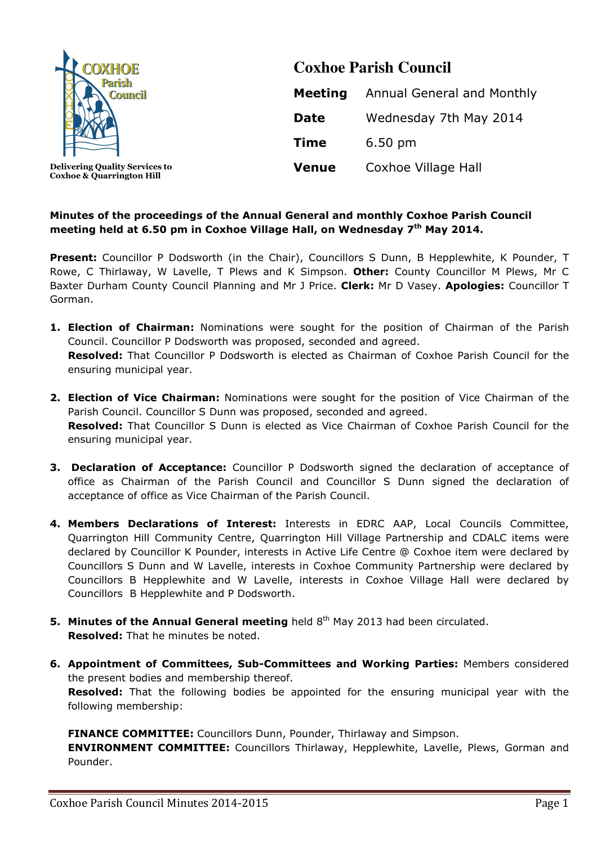

 **Delivering Quality Services to Coxhoe & Quarrington Hill** 

# **Coxhoe Parish Council Meeting** Annual General and Monthly **Date** Wednesday 7th May 2014 **Time** 6.50 pm **Venue** Coxhoe Village Hall

## **Minutes of the proceedings of the Annual General and monthly Coxhoe Parish Council meeting held at 6.50 pm in Coxhoe Village Hall, on Wednesday 7th May 2014.**

Present: Councillor P Dodsworth (in the Chair), Councillors S Dunn, B Hepplewhite, K Pounder, T Rowe, C Thirlaway, W Lavelle, T Plews and K Simpson. **Other:** County Councillor M Plews, Mr C Baxter Durham County Council Planning and Mr J Price. **Clerk:** Mr D Vasey. **Apologies:** Councillor T Gorman.

- **1. Election of Chairman:** Nominations were sought for the position of Chairman of the Parish Council. Councillor P Dodsworth was proposed, seconded and agreed. **Resolved:** That Councillor P Dodsworth is elected as Chairman of Coxhoe Parish Council for the ensuring municipal year.
- **2. Election of Vice Chairman:** Nominations were sought for the position of Vice Chairman of the Parish Council. Councillor S Dunn was proposed, seconded and agreed. **Resolved:** That Councillor S Dunn is elected as Vice Chairman of Coxhoe Parish Council for the ensuring municipal year.
- **3. Declaration of Acceptance:** Councillor P Dodsworth signed the declaration of acceptance of office as Chairman of the Parish Council and Councillor S Dunn signed the declaration of acceptance of office as Vice Chairman of the Parish Council.
- **4. Members Declarations of Interest:** Interests in EDRC AAP, Local Councils Committee, Quarrington Hill Community Centre, Quarrington Hill Village Partnership and CDALC items were declared by Councillor K Pounder, interests in Active Life Centre @ Coxhoe item were declared by Councillors S Dunn and W Lavelle, interests in Coxhoe Community Partnership were declared by Councillors B Hepplewhite and W Lavelle, interests in Coxhoe Village Hall were declared by Councillors B Hepplewhite and P Dodsworth.
- **5. Minutes of the Annual General meeting** held 8<sup>th</sup> May 2013 had been circulated. **Resolved:** That he minutes be noted.
- **6. Appointment of Committees, Sub-Committees and Working Parties:** Members considered the present bodies and membership thereof.

**Resolved:** That the following bodies be appointed for the ensuring municipal year with the following membership:

**FINANCE COMMITTEE:** Councillors Dunn, Pounder, Thirlaway and Simpson.

**ENVIRONMENT COMMITTEE:** Councillors Thirlaway, Hepplewhite, Lavelle, Plews, Gorman and Pounder.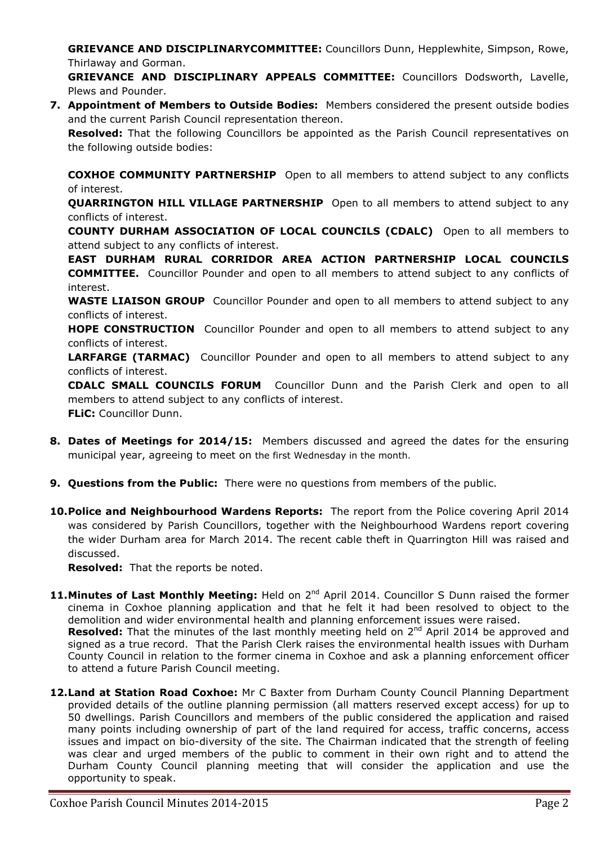**GRIEVANCE AND DISCIPLINARYCOMMITTEE:** Councillors Dunn, Hepplewhite, Simpson, Rowe, Thirlaway and Gorman.

**GRIEVANCE AND DISCIPLINARY APPEALS COMMITTEE:** Councillors Dodsworth, Lavelle, Plews and Pounder.

**7. Appointment of Members to Outside Bodies:** Members considered the present outside bodies and the current Parish Council representation thereon.

**Resolved:** That the following Councillors be appointed as the Parish Council representatives on the following outside bodies:

**COXHOE COMMUNITY PARTNERSHIP** Open to all members to attend subject to any conflicts of interest.

**QUARRINGTON HILL VILLAGE PARTNERSHIP** Open to all members to attend subject to any conflicts of interest.

**COUNTY DURHAM ASSOCIATION OF LOCAL COUNCILS (CDALC)** Open to all members to attend subject to any conflicts of interest.

**EAST DURHAM RURAL CORRIDOR AREA ACTION PARTNERSHIP LOCAL COUNCILS COMMITTEE.** Councillor Pounder and open to all members to attend subject to any conflicts of interest.

**WASTE LIAISON GROUP** Councillor Pounder and open to all members to attend subject to any conflicts of interest.

**HOPE CONSTRUCTION** Councillor Pounder and open to all members to attend subject to any conflicts of interest.

**LARFARGE (TARMAC)** Councillor Pounder and open to all members to attend subject to any conflicts of interest.

**CDALC SMALL COUNCILS FORUM** Councillor Dunn and the Parish Clerk and open to all members to attend subject to any conflicts of interest. **FLiC:** Councillor Dunn.

- **8. Dates of Meetings for 2014/15:** Members discussed and agreed the dates for the ensuring municipal year, agreeing to meet on the first Wednesday in the month.
- **9. Questions from the Public:** There were no questions from members of the public.
- **10.Police and Neighbourhood Wardens Reports:** The report from the Police covering April 2014 was considered by Parish Councillors, together with the Neighbourhood Wardens report covering the wider Durham area for March 2014. The recent cable theft in Quarrington Hill was raised and discussed.

**Resolved:** That the reports be noted.

- 11. Minutes of Last Monthly Meeting: Held on 2<sup>nd</sup> April 2014. Councillor S Dunn raised the former cinema in Coxhoe planning application and that he felt it had been resolved to object to the demolition and wider environmental health and planning enforcement issues were raised. **Resolved:** That the minutes of the last monthly meeting held on 2<sup>nd</sup> April 2014 be approved and signed as a true record. That the Parish Clerk raises the environmental health issues with Durham County Council in relation to the former cinema in Coxhoe and ask a planning enforcement officer to attend a future Parish Council meeting.
- 12. Land at Station Road Coxhoe: Mr C Baxter from Durham County Council Planning Department provided details of the outline planning permission (all matters reserved except access) for up to 50 dwellings. Parish Councillors and members of the public considered the application and raised many points including ownership of part of the land required for access, traffic concerns, access issues and impact on bio-diversity of the site. The Chairman indicated that the strength of feeling was clear and urged members of the public to comment in their own right and to attend the Durham County Council planning meeting that will consider the application and use the opportunity to speak.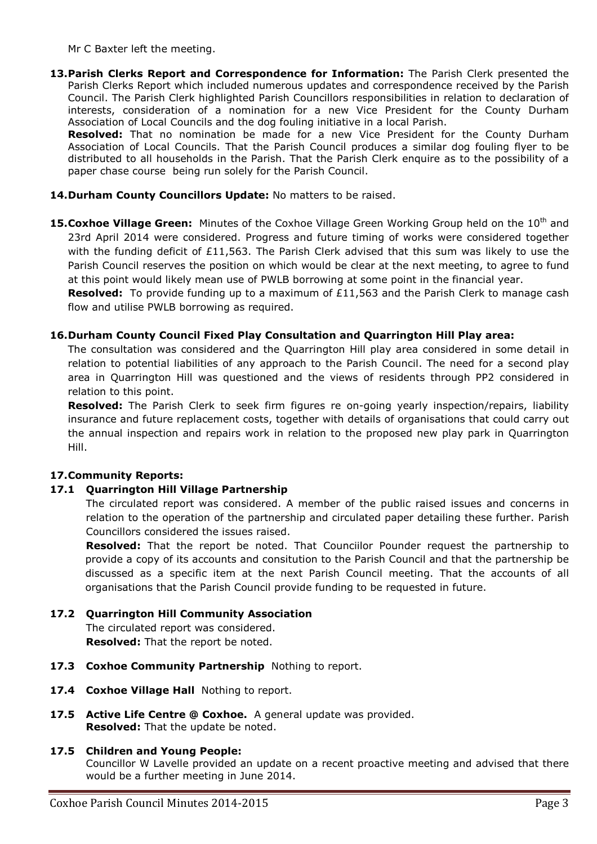Mr C Baxter left the meeting.

**13.Parish Clerks Report and Correspondence for Information:** The Parish Clerk presented the Parish Clerks Report which included numerous updates and correspondence received by the Parish Council. The Parish Clerk highlighted Parish Councillors responsibilities in relation to declaration of interests, consideration of a nomination for a new Vice President for the County Durham Association of Local Councils and the dog fouling initiative in a local Parish.

**Resolved:** That no nomination be made for a new Vice President for the County Durham Association of Local Councils. That the Parish Council produces a similar dog fouling flyer to be distributed to all households in the Parish. That the Parish Clerk enquire as to the possibility of a paper chase course being run solely for the Parish Council.

## 14. Durham County Councillors Update: No matters to be raised.

15. Coxhoe Village Green: Minutes of the Coxhoe Village Green Working Group held on the 10<sup>th</sup> and 23rd April 2014 were considered. Progress and future timing of works were considered together with the funding deficit of £11,563. The Parish Clerk advised that this sum was likely to use the Parish Council reserves the position on which would be clear at the next meeting, to agree to fund at this point would likely mean use of PWLB borrowing at some point in the financial year.

**Resolved:** To provide funding up to a maximum of £11,563 and the Parish Clerk to manage cash flow and utilise PWLB borrowing as required.

#### **16.Durham County Council Fixed Play Consultation and Quarrington Hill Play area:**

The consultation was considered and the Quarrington Hill play area considered in some detail in relation to potential liabilities of any approach to the Parish Council. The need for a second play area in Quarrington Hill was questioned and the views of residents through PP2 considered in relation to this point.

**Resolved:** The Parish Clerk to seek firm figures re on-going yearly inspection/repairs, liability insurance and future replacement costs, together with details of organisations that could carry out the annual inspection and repairs work in relation to the proposed new play park in Quarrington Hill.

## **17.Community Reports:**

#### **17.1 Quarrington Hill Village Partnership**

The circulated report was considered. A member of the public raised issues and concerns in relation to the operation of the partnership and circulated paper detailing these further. Parish Councillors considered the issues raised.

**Resolved:** That the report be noted. That Counciilor Pounder request the partnership to provide a copy of its accounts and consitution to the Parish Council and that the partnership be discussed as a specific item at the next Parish Council meeting. That the accounts of all organisations that the Parish Council provide funding to be requested in future.

#### **17.2 Quarrington Hill Community Association**

The circulated report was considered. **Resolved:** That the report be noted.

- 17.3 Coxhoe Community Partnership Nothing to report.
- **17.4 Coxhoe Village Hall** Nothing to report.
- **17.5 Active Life Centre @ Coxhoe.** A general update was provided. **Resolved:** That the update be noted.

#### **17.5 Children and Young People:**

Councillor W Lavelle provided an update on a recent proactive meeting and advised that there would be a further meeting in June 2014.